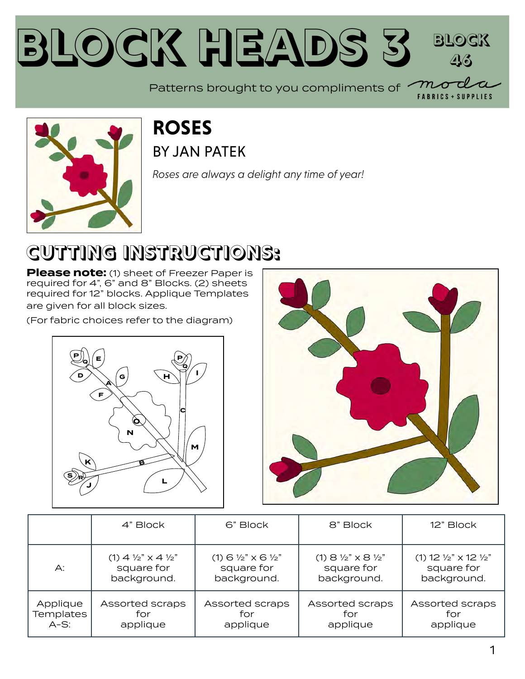### **Block Heads [3](https://modafabrics.com) Block 46**

 $m\!\!\!-\!\!\!o$ Patterns brought to you compliments of

**FABRICS + SUPPLIES** 



### **ROSES** BY [JAN PATEK](https://modafabrics.com/designers/jan-patek)

*Roses are always a delight any time of year!*

### **CUTTING INSTRUCTIONS:**

**Please note:** (1) sheet of Freezer Paper is required for 4", 6" and 8" Blocks. (2) sheets required for 12" blocks. Applique Templates are given for all block sizes.

(For fabric choices refer to the diagram)





|           | 4" Block                                   | 6" Block                                       | 8" Block                                    | 12" Block                                 |
|-----------|--------------------------------------------|------------------------------------------------|---------------------------------------------|-------------------------------------------|
| А:        | (1) $4\frac{1}{2}$ $\times$ $4\frac{1}{2}$ | $(1)$ 6 $\frac{1}{2}$ $\times$ 6 $\frac{1}{2}$ | $(1)$ 8 $\frac{1}{2}$ " x 8 $\frac{1}{2}$ " | (1) 12 $\frac{1}{2}$ x 12 $\frac{1}{2}$ " |
|           | square for                                 | square for                                     | square for                                  | square for                                |
|           | background.                                | background.                                    | background.                                 | background.                               |
| Applique  | Assorted scraps                            | Assorted scraps                                | Assorted scraps                             | Assorted scraps                           |
| Templates | for                                        | for                                            | for                                         | for                                       |
| $A-S:$    | applique                                   | applique                                       | applique                                    | applique                                  |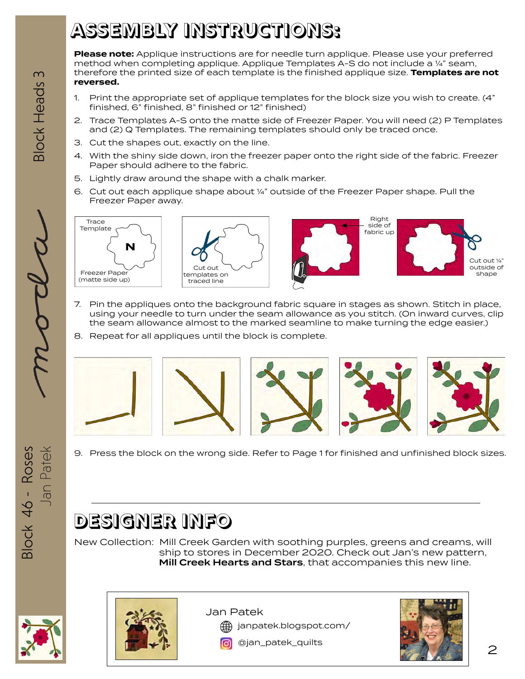### **ASSEMBLY INSTRUCTIONS:**

**Please note:** Applique instructions are for needle turn applique. Please use your preferred method when completing applique. Applique Templates A-S do not include a ¼" seam, therefore the printed size of each template is the finished applique size. **Templates are not reversed.**

- 1. Print the appropriate set of applique templates for the block size you wish to create. (4" finished, 6" finished, 8" finished or 12" finished)
- 2. Trace Templates A-S onto the matte side of Freezer Paper. You will need (2) P Templates and (2) Q Templates. The remaining templates should only be traced once.
- 3. Cut the shapes out, exactly on the line.
- 4. With the shiny side down, iron the freezer paper onto the right side of the fabric. Freezer Paper should adhere to the fabric.
- 5. Lightly draw around the shape with a chalk marker.
- 6. Cut out each applique shape about ¼" outside of the Freezer Paper shape. Pull the Freezer Paper away.







- 7. Pin the appliques onto the background fabric square in stages as shown. Stitch in place, using your needle to turn under the seam allowance as you stitch. (On inward curves, clip the seam allowance almost to the marked seamline to make turning the edge easier.)
- 8. Repeat for all appliques until the block is complete.



9. Press the block on the wrong side. Refer to Page 1 for finished and unfinished block sizes.

### **DESIGNER INFO**

New Collection: Mill Creek Garden with soothing purples, greens and creams, will ship to stores in December 2020. Check out Jan's new pattern, Mill Creek Hearts and Stars, that accompanies this new line.



Block 46 - Roses

3lock 46 - Roses

Jan Patek



Jan Patek

[janpatek.blogspot.com/](http://janpatek.blogspot.com/)

[@jan\\_patek\\_quilts](http://www.instagram.com/jan_patek_quilts)



2

**3lock Heads** 

3

Jan Patek  $\overline{\mathcal{M}\mathcal{L}\mathcal{L}}$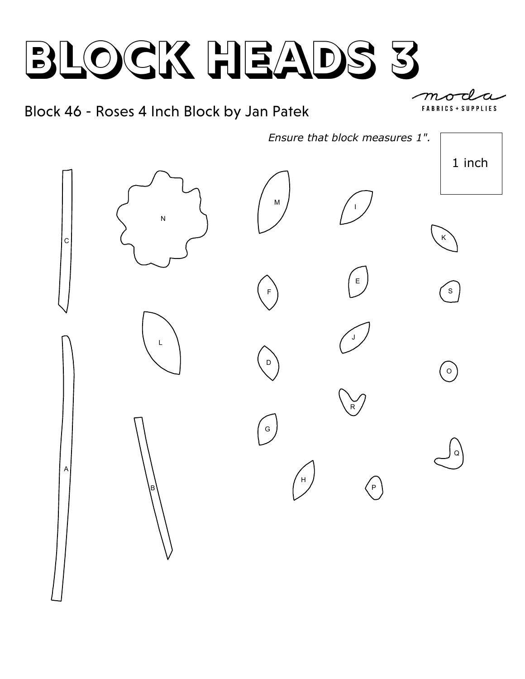#### Block 46 - Roses 4 Inch Block by Jan Patek



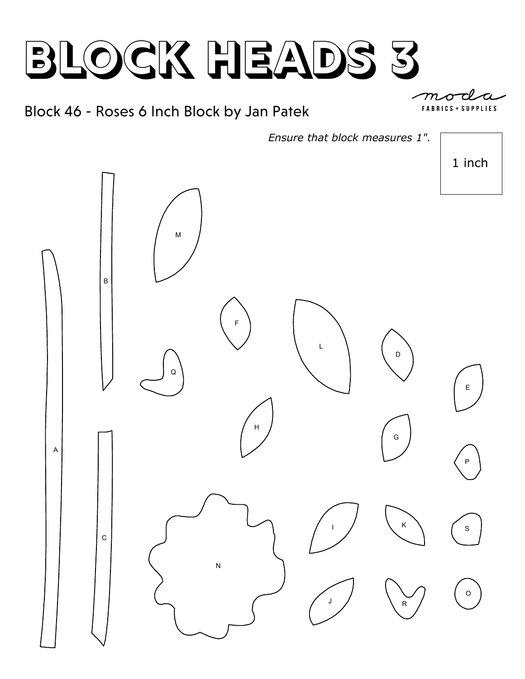#### Block 46 - Roses 6 Inch Block by Jan Patek

**FARRICS SUPPLIES** 

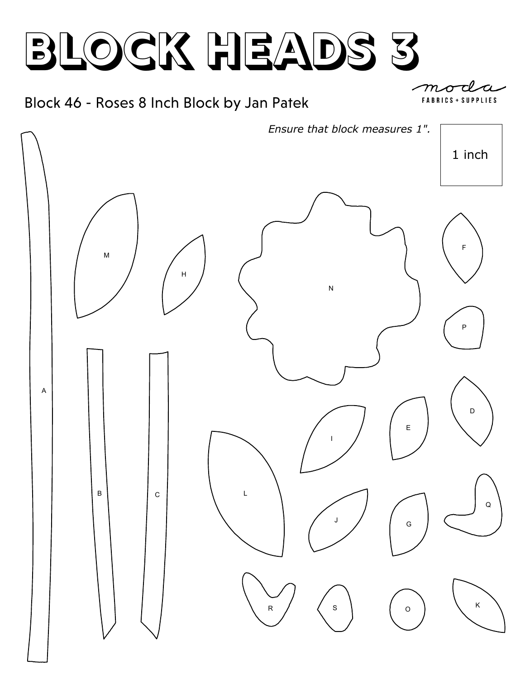#### Block 46 - Roses 8 Inch Block by Jan Patek

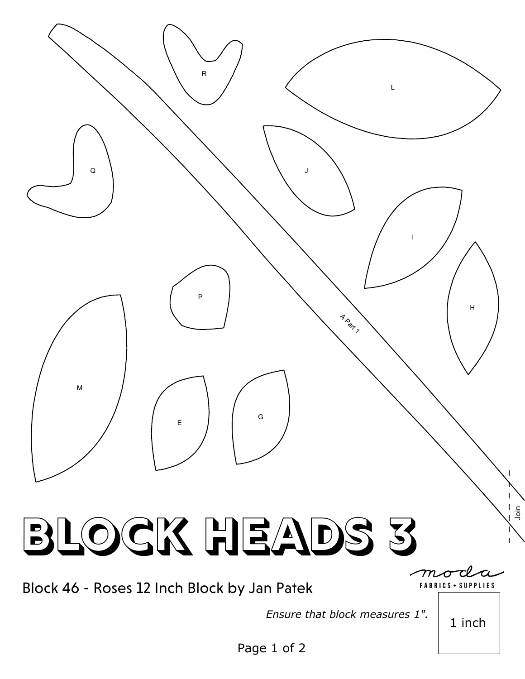

*Ensure that block measures 1".*